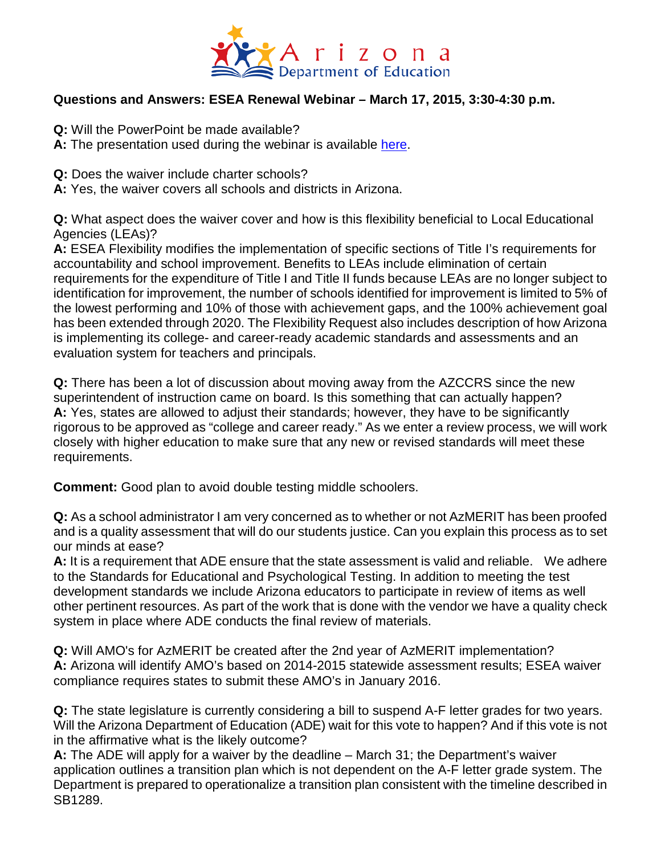

## **Questions and Answers: ESEA Renewal Webinar – March 17, 2015, 3:30-4:30 p.m.**

- **Q:** Will the PowerPoint be made available?
- **A:** The presentation used during the webinar is available [here.](http://www.azed.gov/wp-content/uploads/2015/03/2015-ade-waiver-presentation-031715.pdf)
- **Q:** Does the waiver include charter schools?
- **A:** Yes, the waiver covers all schools and districts in Arizona.

**Q:** What aspect does the waiver cover and how is this flexibility beneficial to Local Educational Agencies (LEAs)?

**A:** ESEA Flexibility modifies the implementation of specific sections of Title I's requirements for accountability and school improvement. Benefits to LEAs include elimination of certain requirements for the expenditure of Title I and Title II funds because LEAs are no longer subject to identification for improvement, the number of schools identified for improvement is limited to 5% of the lowest performing and 10% of those with achievement gaps, and the 100% achievement goal has been extended through 2020. The Flexibility Request also includes description of how Arizona is implementing its college- and career-ready academic standards and assessments and an evaluation system for teachers and principals.

**Q:** There has been a lot of discussion about moving away from the AZCCRS since the new superintendent of instruction came on board. Is this something that can actually happen? **A:** Yes, states are allowed to adjust their standards; however, they have to be significantly rigorous to be approved as "college and career ready." As we enter a review process, we will work closely with higher education to make sure that any new or revised standards will meet these requirements.

**Comment:** Good plan to avoid double testing middle schoolers.

**Q:** As a school administrator I am very concerned as to whether or not AzMERIT has been proofed and is a quality assessment that will do our students justice. Can you explain this process as to set our minds at ease?

**A:** It is a requirement that ADE ensure that the state assessment is valid and reliable. We adhere to the Standards for Educational and Psychological Testing. In addition to meeting the test development standards we include Arizona educators to participate in review of items as well other pertinent resources. As part of the work that is done with the vendor we have a quality check system in place where ADE conducts the final review of materials.

**Q:** Will AMO's for AzMERIT be created after the 2nd year of AzMERIT implementation? **A:** Arizona will identify AMO's based on 2014-2015 statewide assessment results; ESEA waiver compliance requires states to submit these AMO's in January 2016.

**Q:** The state legislature is currently considering a bill to suspend A-F letter grades for two years. Will the Arizona Department of Education (ADE) wait for this vote to happen? And if this vote is not in the affirmative what is the likely outcome?

**A:** The ADE will apply for a waiver by the deadline – March 31; the Department's waiver application outlines a transition plan which is not dependent on the A-F letter grade system. The Department is prepared to operationalize a transition plan consistent with the timeline described in SB1289.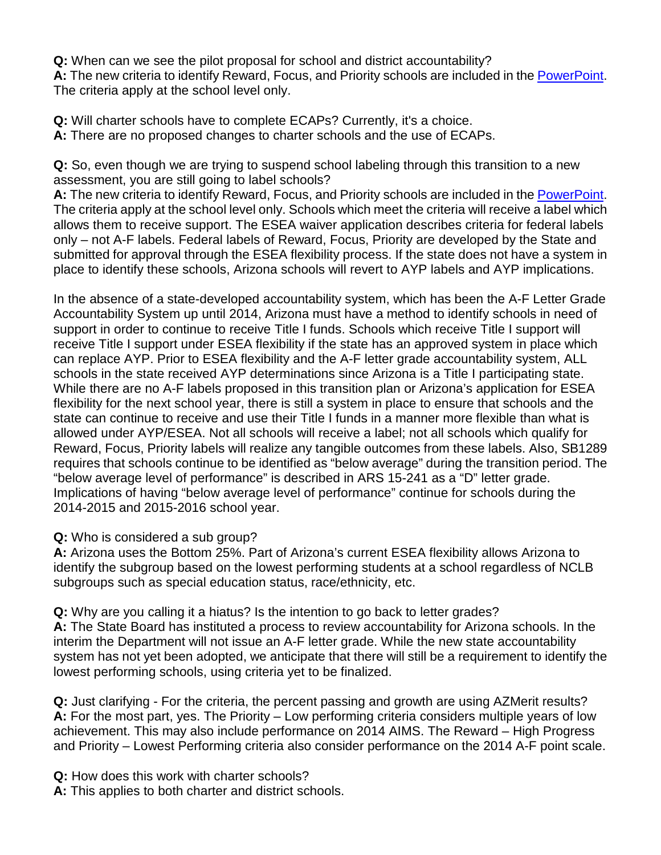**Q:** When can we see the pilot proposal for school and district accountability? **A:** The new criteria to identify Reward, Focus, and Priority schools are included in the [PowerPoint.](http://www.azed.gov/wp-content/uploads/2015/03/2015-ade-waiver-presentation-031715.pdf) The criteria apply at the school level only.

**Q:** Will charter schools have to complete ECAPs? Currently, it's a choice. **A:** There are no proposed changes to charter schools and the use of ECAPs.

**Q:** So, even though we are trying to suspend school labeling through this transition to a new assessment, you are still going to label schools?

**A:** The new criteria to identify Reward, Focus, and Priority schools are included in the [PowerPoint.](http://www.azed.gov/wp-content/uploads/2015/03/2015-ade-waiver-presentation-031715.pdf) The criteria apply at the school level only. Schools which meet the criteria will receive a label which allows them to receive support. The ESEA waiver application describes criteria for federal labels only – not A-F labels. Federal labels of Reward, Focus, Priority are developed by the State and submitted for approval through the ESEA flexibility process. If the state does not have a system in place to identify these schools, Arizona schools will revert to AYP labels and AYP implications.

In the absence of a state-developed accountability system, which has been the A-F Letter Grade Accountability System up until 2014, Arizona must have a method to identify schools in need of support in order to continue to receive Title I funds. Schools which receive Title I support will receive Title I support under ESEA flexibility if the state has an approved system in place which can replace AYP. Prior to ESEA flexibility and the A-F letter grade accountability system, ALL schools in the state received AYP determinations since Arizona is a Title I participating state. While there are no A-F labels proposed in this transition plan or Arizona's application for ESEA flexibility for the next school year, there is still a system in place to ensure that schools and the state can continue to receive and use their Title I funds in a manner more flexible than what is allowed under AYP/ESEA. Not all schools will receive a label; not all schools which qualify for Reward, Focus, Priority labels will realize any tangible outcomes from these labels. Also, SB1289 requires that schools continue to be identified as "below average" during the transition period. The "below average level of performance" is described in ARS 15-241 as a "D" letter grade. Implications of having "below average level of performance" continue for schools during the 2014-2015 and 2015-2016 school year.

## **Q:** Who is considered a sub group?

**A:** Arizona uses the Bottom 25%. Part of Arizona's current ESEA flexibility allows Arizona to identify the subgroup based on the lowest performing students at a school regardless of NCLB subgroups such as special education status, race/ethnicity, etc.

**Q:** Why are you calling it a hiatus? Is the intention to go back to letter grades? **A:** The State Board has instituted a process to review accountability for Arizona schools. In the

interim the Department will not issue an A-F letter grade. While the new state accountability system has not yet been adopted, we anticipate that there will still be a requirement to identify the lowest performing schools, using criteria yet to be finalized.

**Q:** Just clarifying - For the criteria, the percent passing and growth are using AZMerit results? **A:** For the most part, yes. The Priority – Low performing criteria considers multiple years of low achievement. This may also include performance on 2014 AIMS. The Reward – High Progress and Priority – Lowest Performing criteria also consider performance on the 2014 A-F point scale.

**Q:** How does this work with charter schools?

**A:** This applies to both charter and district schools.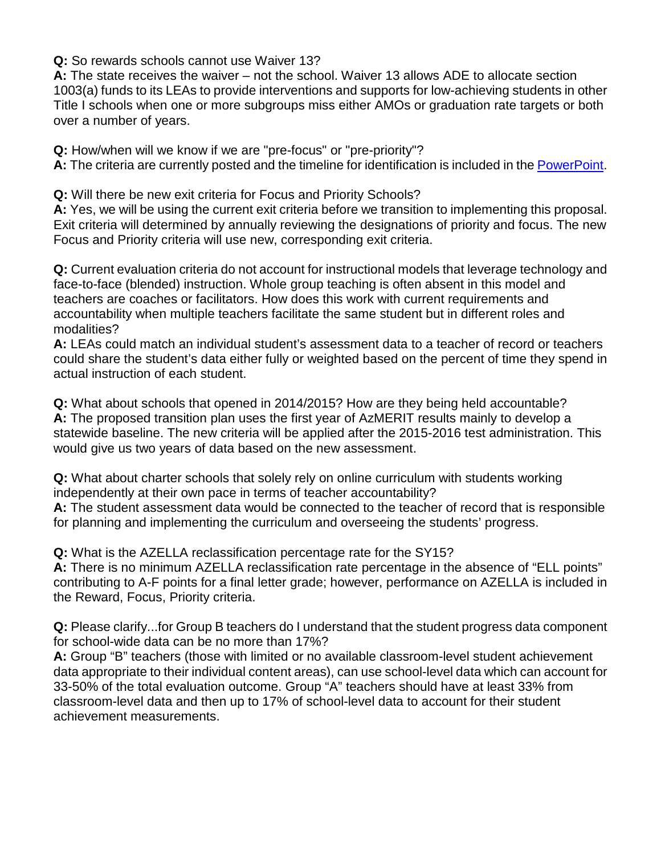**Q:** So rewards schools cannot use Waiver 13?

**A:** The state receives the waiver – not the school. Waiver 13 allows ADE to allocate section 1003(a) funds to its LEAs to provide interventions and supports for low-achieving students in other Title I schools when one or more subgroups miss either AMOs or graduation rate targets or both over a number of years.

**Q:** How/when will we know if we are "pre-focus" or "pre-priority"? **A:** The criteria are currently posted and the timeline for identification is included in the [PowerPoint.](http://www.azed.gov/wp-content/uploads/2015/03/2015-ade-waiver-presentation-031715.pdf)

**Q:** Will there be new exit criteria for Focus and Priority Schools?

**A:** Yes, we will be using the current exit criteria before we transition to implementing this proposal. Exit criteria will determined by annually reviewing the designations of priority and focus. The new Focus and Priority criteria will use new, corresponding exit criteria.

**Q:** Current evaluation criteria do not account for instructional models that leverage technology and face-to-face (blended) instruction. Whole group teaching is often absent in this model and teachers are coaches or facilitators. How does this work with current requirements and accountability when multiple teachers facilitate the same student but in different roles and modalities?

**A:** LEAs could match an individual student's assessment data to a teacher of record or teachers could share the student's data either fully or weighted based on the percent of time they spend in actual instruction of each student.

**Q:** What about schools that opened in 2014/2015? How are they being held accountable? **A:** The proposed transition plan uses the first year of AzMERIT results mainly to develop a statewide baseline. The new criteria will be applied after the 2015-2016 test administration. This would give us two years of data based on the new assessment.

**Q:** What about charter schools that solely rely on online curriculum with students working independently at their own pace in terms of teacher accountability?

**A:** The student assessment data would be connected to the teacher of record that is responsible for planning and implementing the curriculum and overseeing the students' progress.

**Q:** What is the AZELLA reclassification percentage rate for the SY15?

**A:** There is no minimum AZELLA reclassification rate percentage in the absence of "ELL points" contributing to A-F points for a final letter grade; however, performance on AZELLA is included in the Reward, Focus, Priority criteria.

**Q:** Please clarify...for Group B teachers do I understand that the student progress data component for school-wide data can be no more than 17%?

**A:** Group "B" teachers (those with limited or no available classroom-level student achievement data appropriate to their individual content areas), can use school-level data which can account for 33-50% of the total evaluation outcome. Group "A" teachers should have at least 33% from classroom-level data and then up to 17% of school-level data to account for their student achievement measurements.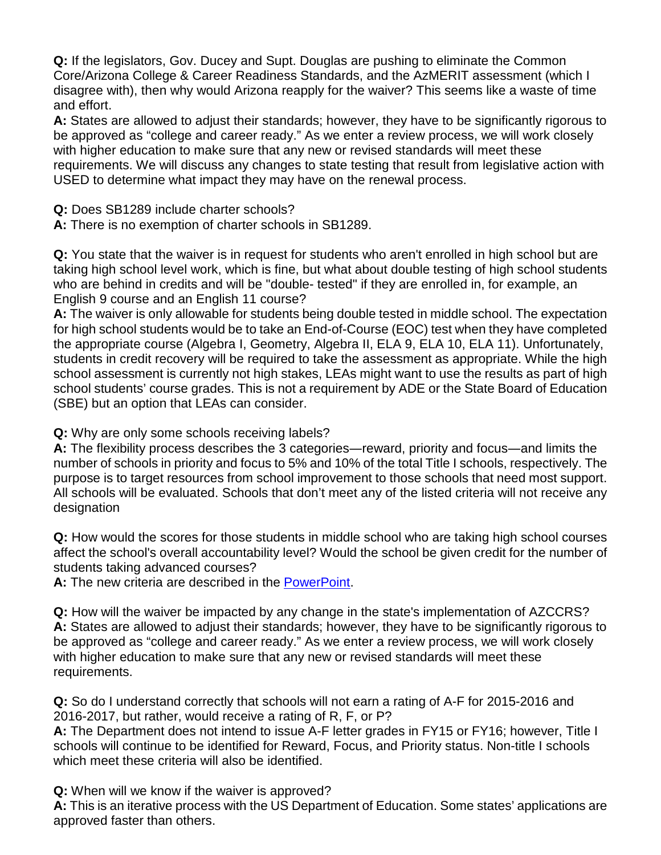**Q:** If the legislators, Gov. Ducey and Supt. Douglas are pushing to eliminate the Common Core/Arizona College & Career Readiness Standards, and the AzMERIT assessment (which I disagree with), then why would Arizona reapply for the waiver? This seems like a waste of time and effort.

**A:** States are allowed to adjust their standards; however, they have to be significantly rigorous to be approved as "college and career ready." As we enter a review process, we will work closely with higher education to make sure that any new or revised standards will meet these requirements. We will discuss any changes to state testing that result from legislative action with USED to determine what impact they may have on the renewal process.

**Q:** Does SB1289 include charter schools?

**A:** There is no exemption of charter schools in SB1289.

**Q:** You state that the waiver is in request for students who aren't enrolled in high school but are taking high school level work, which is fine, but what about double testing of high school students who are behind in credits and will be "double- tested" if they are enrolled in, for example, an English 9 course and an English 11 course?

**A:** The waiver is only allowable for students being double tested in middle school. The expectation for high school students would be to take an End-of-Course (EOC) test when they have completed the appropriate course (Algebra I, Geometry, Algebra II, ELA 9, ELA 10, ELA 11). Unfortunately, students in credit recovery will be required to take the assessment as appropriate. While the high school assessment is currently not high stakes, LEAs might want to use the results as part of high school students' course grades. This is not a requirement by ADE or the State Board of Education (SBE) but an option that LEAs can consider.

**Q:** Why are only some schools receiving labels?

**A:** The flexibility process describes the 3 categories―reward, priority and focus―and limits the number of schools in priority and focus to 5% and 10% of the total Title I schools, respectively. The purpose is to target resources from school improvement to those schools that need most support. All schools will be evaluated. Schools that don't meet any of the listed criteria will not receive any designation

**Q:** How would the scores for those students in middle school who are taking high school courses affect the school's overall accountability level? Would the school be given credit for the number of students taking advanced courses?

**A:** The new criteria are described in the [PowerPoint.](http://www.azed.gov/wp-content/uploads/2015/03/2015-ade-waiver-presentation-031715.pdf)

**Q:** How will the waiver be impacted by any change in the state's implementation of AZCCRS? **A:** States are allowed to adjust their standards; however, they have to be significantly rigorous to be approved as "college and career ready." As we enter a review process, we will work closely with higher education to make sure that any new or revised standards will meet these requirements.

**Q:** So do I understand correctly that schools will not earn a rating of A-F for 2015-2016 and 2016-2017, but rather, would receive a rating of R, F, or P?

**A:** The Department does not intend to issue A-F letter grades in FY15 or FY16; however, Title I schools will continue to be identified for Reward, Focus, and Priority status. Non-title I schools which meet these criteria will also be identified.

**Q:** When will we know if the waiver is approved?

**A:** This is an iterative process with the US Department of Education. Some states' applications are approved faster than others.